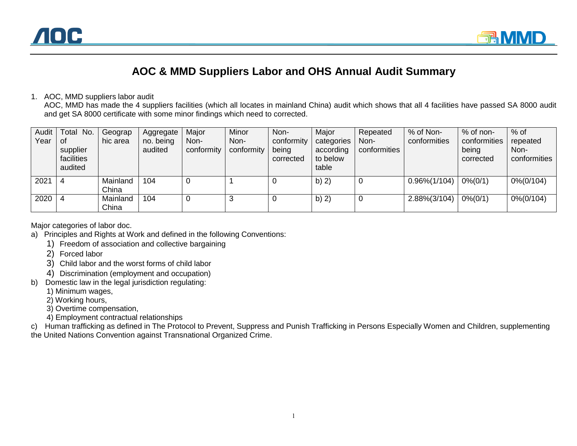

## **AOC & MMD Suppliers Labor and OHS Annual Audit Summary**

## 1. AOC, MMD suppliers labor audit

AOC, MMD has made the 4 suppliers facilities (which all locates in mainland China) audit which shows that all 4 facilities have passed SA 8000 audit and get SA 8000 certificate with some minor findings which need to corrected.

| Audit<br>Year | Total No.<br>0f<br>supplier<br>facilities<br>audited | Geograp<br>hic area | Aggregate<br>no. being<br>audited | Major<br>Non-<br>conformity | Minor<br>Non-<br>conformity | Non-<br>conformity<br>being<br>corrected | Major<br>categories<br>according<br>to below<br>table | Repeated<br>Non-<br>conformities | % of Non-<br>conformities | % of non-<br>conformities<br>being<br>corrected | $%$ of<br>repeated<br>Non-<br>conformities |
|---------------|------------------------------------------------------|---------------------|-----------------------------------|-----------------------------|-----------------------------|------------------------------------------|-------------------------------------------------------|----------------------------------|---------------------------|-------------------------------------------------|--------------------------------------------|
| 2021          | -4                                                   | Mainland<br>China   | 104                               |                             |                             |                                          | b) $2)$                                               |                                  | $0.96\%/1/104)$           | $0\% (0/1)$                                     | $0\%/0/104)$                               |
| 2020          | -4                                                   | Mainland<br>China   | 104                               |                             | 3                           |                                          | $b)$ 2)                                               |                                  | 2.88%(3/104)              | $0\% (0/1)$                                     | $0\%/0/104)$                               |

Major categories of labor doc.

- a) Principles and Rights at Work and defined in the following Conventions:
	- 1) Freedom of association and collective bargaining
	- 2) Forced labor
	- 3) Child labor and the worst forms of child labor
	- 4) Discrimination (employment and occupation)
- b) Domestic law in the legal jurisdiction regulating:
	- 1) Minimum wages,
	- 2) Working hours,
	- 3) Overtime compensation,
	- 4) Employment contractual relationships

c) Human trafficking as defined in The Protocol to Prevent, Suppress and Punish Trafficking in Persons Especially Women and Children, supplementing the United Nations Convention against Transnational Organized Crime.